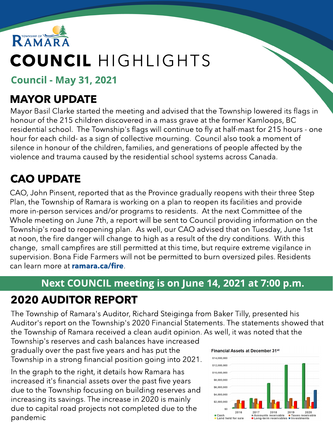

# COUNCIL HIGHLIGHTS

Council - May 31, 2021

# MAYOR UPDATE

Mayor Basil Clarke started the meeting and advised that the Township lowered its flags in honour of the 215 children discovered in a mass grave at the former Kamloops, BC residential school. The Township's flags will continue to fly at half-mast for 215 hours - one hour for each child- as a sign of collective mourning. Council also took a moment of silence in honour of the children, families, and generations of people affected by the violence and trauma caused by the residential school systems across Canada.

# CAO UPDATE

CAO, John Pinsent, reported that as the Province gradually reopens with their three Step Plan, the Township of Ramara is working on a plan to reopen its facilities and provide more in-person services and/or programs to residents. At the next Committee of the Whole meeting on June 7th, a report will be sent to Council providing information on the Township's road to reopening plan. As well, our CAO advised that on Tuesday, June 1st at noon, the fire danger will change to high as a result of the dry conditions. With this change, small campfires are still permitted at this time, but require extreme vigilance in supervision. Bona Fide Farmers will not be permitted to burn oversized piles. Residents can learn more at **[ramara.ca/fire](http://www.ramara.ca/fire)**.

### Next COUNCIL meeting is on June 14, 2021 at 7:00 p.m.

# 2020 AUDITOR REPORT

The Township of Ramara's Auditor, Richard Steiginga from Baker Tilly, presented his Auditor's report on the Township's 2020 Financial Statements. The statements showed that the Township of Ramara received a clean audit opinion. As well, it was noted that the

Township's reserves and cash balances have increased gradually over the past five years and has put the Township in a strong financial position going into 2021.

In the graph to the right, it details how Ramara has increased it's financial assets over the past five years due to the Township focusing on building reserves and increasing its savings. The increase in 2020 is mainly due to capital road projects not completed due to the pandemic

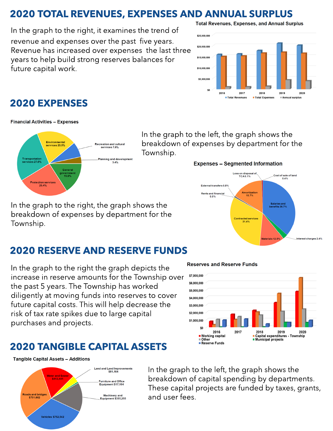### 2020 TOTAL REVENUES, EXPENSES AND ANNUAL SURPLUS

In the graph to the right, it examines the trend of revenue and expenses over the past five years. Revenue has increased over expenses the last three years to help build strong reserves balances for future capital work.

#### **Total Revenues, Expenses, and Annual Surplus**



#### 2020 EXPENSES

**Financial Activities - Expenses** 



In the graph to the left, the graph shows the breakdown of expenses by department for the Township.

#### **Expenses - Segmented Information**



In the graph to the right, the graph shows the breakdown of expenses by department for the Township.

#### 2020 RESERVE AND RESERVE FUNDS

In the graph to the right the graph depicts the increase in reserve amounts for the Township over the past 5 years. The Township has worked diligently at moving funds into reserves to cover future capital costs. This will help decrease the risk of tax rate spikes due to large capital purchases and projects.

### 2020 TANGIBLE CAPITAL ASSETS

**Tangible Capital Assets - Additions** 



#### **Reserves and Reserve Funds**



In the graph to the left, the graph shows the breakdown of capital spending by departments. These capital projects are funded by taxes, grants, and user fees.